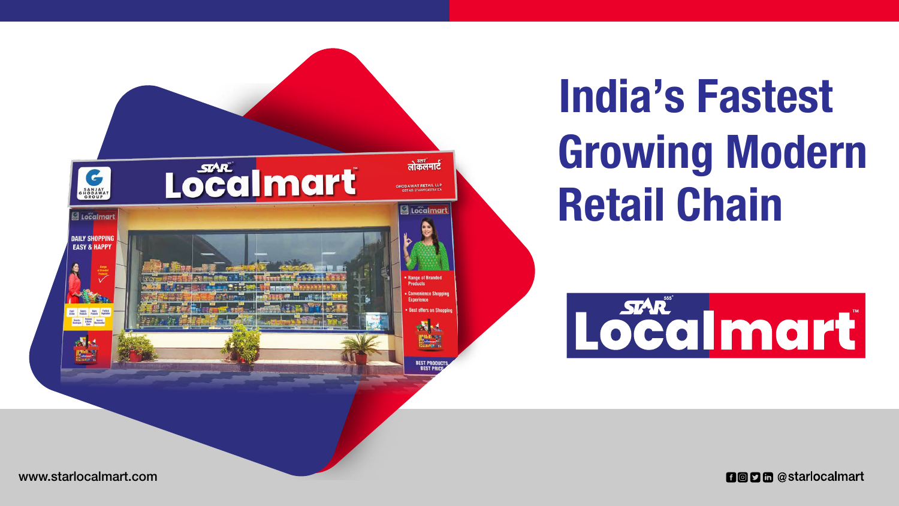

### www.starlocalmart.com

# Growing Modern Retail Chain India's Fastest



**noph** @starlocalmart



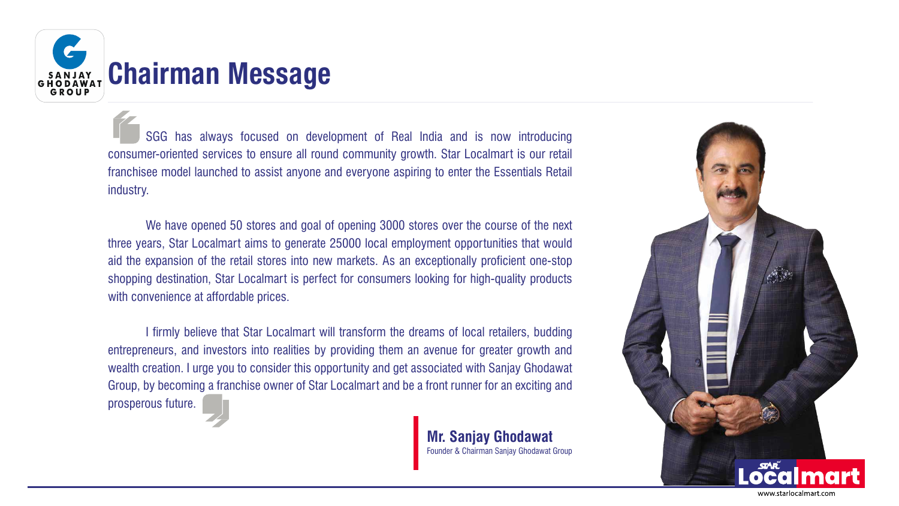

## SANJAY Chairman Message

 SGG has always focused on development of Real India and is now introducing consumer-oriented services to ensure all round community growth. Star Localmart is our retail franchisee model launched to assist anyone and everyone aspiring to enter the Essentials Retail industry.

 We have opened 50 stores and goal of opening 3000 stores over the course of the next three years, Star Localmart aims to generate 25000 local employment opportunities that would aid the expansion of the retail stores into new markets. As an exceptionally proficient one-stop shopping destination, Star Localmart is perfect for consumers looking for high-quality products with convenience at affordable prices.

 I firmly believe that Star Localmart will transform the dreams of local retailers, budding entrepreneurs, and investors into realities by providing them an avenue for greater growth and wealth creation. I urge you to consider this opportunity and get associated with Sanjay Ghodawat Group, by becoming a franchise owner of Star Localmart and be a front runner for an exciting and prosperous future.

> **Mr. Sanjay Ghodawat** Founder & Chairman Sanjay Ghodawat Group



www.starlocalmart.com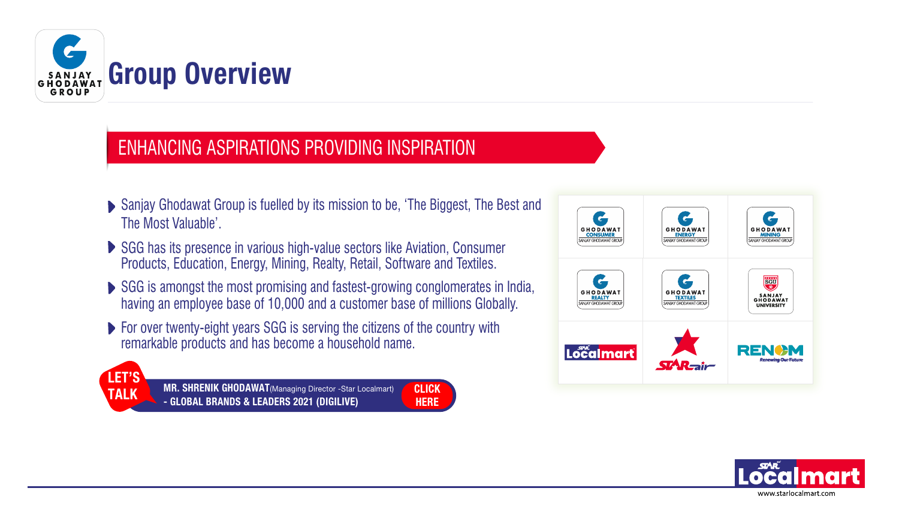- ▶ Sanjay Ghodawat Group is fuelled by its mission to be, 'The Biggest, The Best and The Most Valuable'.
- ▶ SGG has its presence in various high-value sectors like Aviation, Consumer Products, Education, Energy, Mining, Realty, Retail, Software and Textiles.
- ▶ SGG is amongst the most promising and fastest-growing conglomerates in India, having an employee base of 10,000 and a customer base of millions Globally.

**HERE** 

**For over twenty-eight years SGG is serving the citizens of the country with** remarkable products and has become a household name.

**TALK MR. SHRENIK GHODAWAT**(Managing Director -Star Localmart) **CLICK**<br>
TALK CLICK CLICK CLICK READEDS 2021 (DIGH IVE) - GLOBAL BRANDS & LEADERS 2021 (DIGILIVE)







### ENHANCING ASPIRATIONS PROVIDING INSPIRATION



# Group Overview

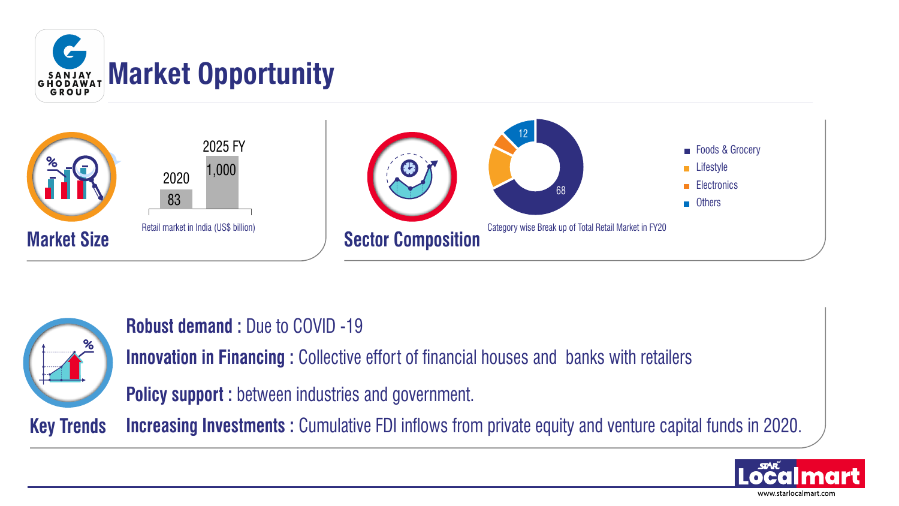

**Robust demand :** Due to COVID -19 **Innovation in Financing :** Collective effort of financial houses and banks with retailers **Policy support :** between industries and government.

- 
- 
- **Increasing Investments :** Cumulative FDI inflows from private equity and venture capital funds in 2020.







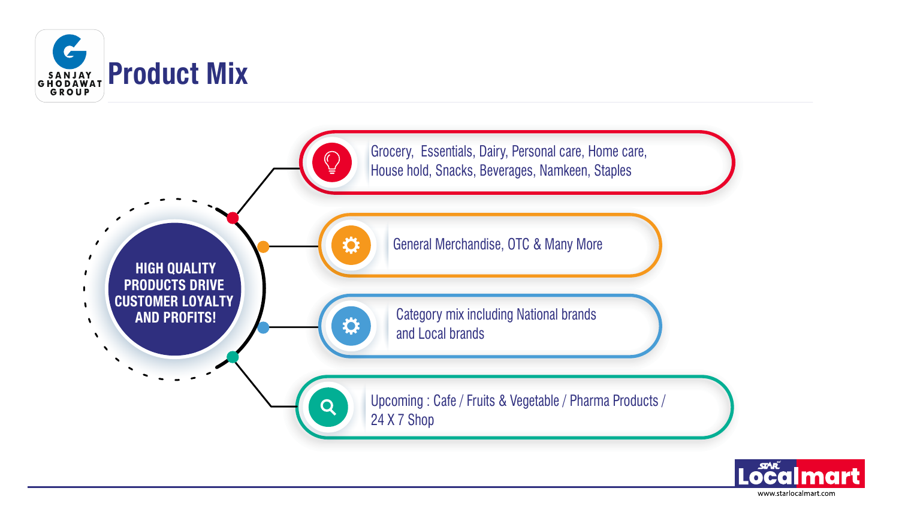

## GRODAWAT Product Mix





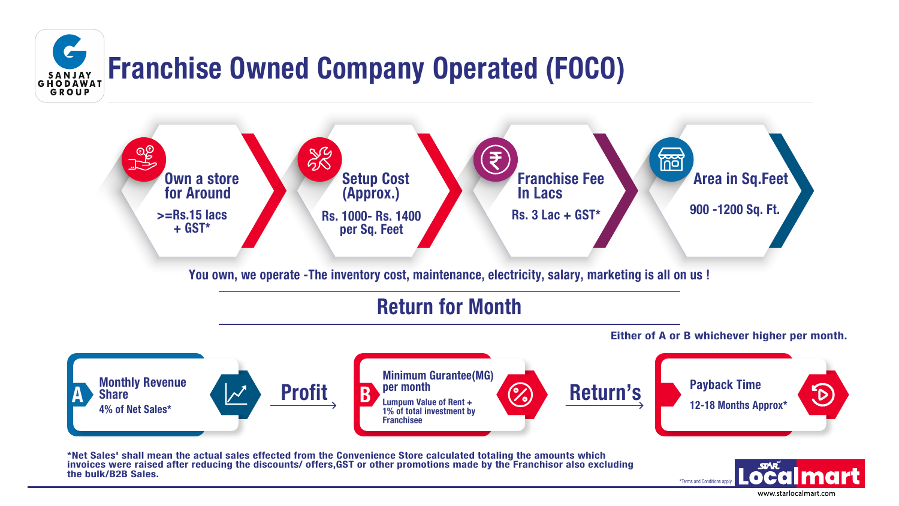



## Franchise Owned Company Operated (FOCO)



### Return for Month

You own, we operate -The inventory cost, maintenance, electricity, salary, marketing is all on us !

Either of A or B whichever higher per month.